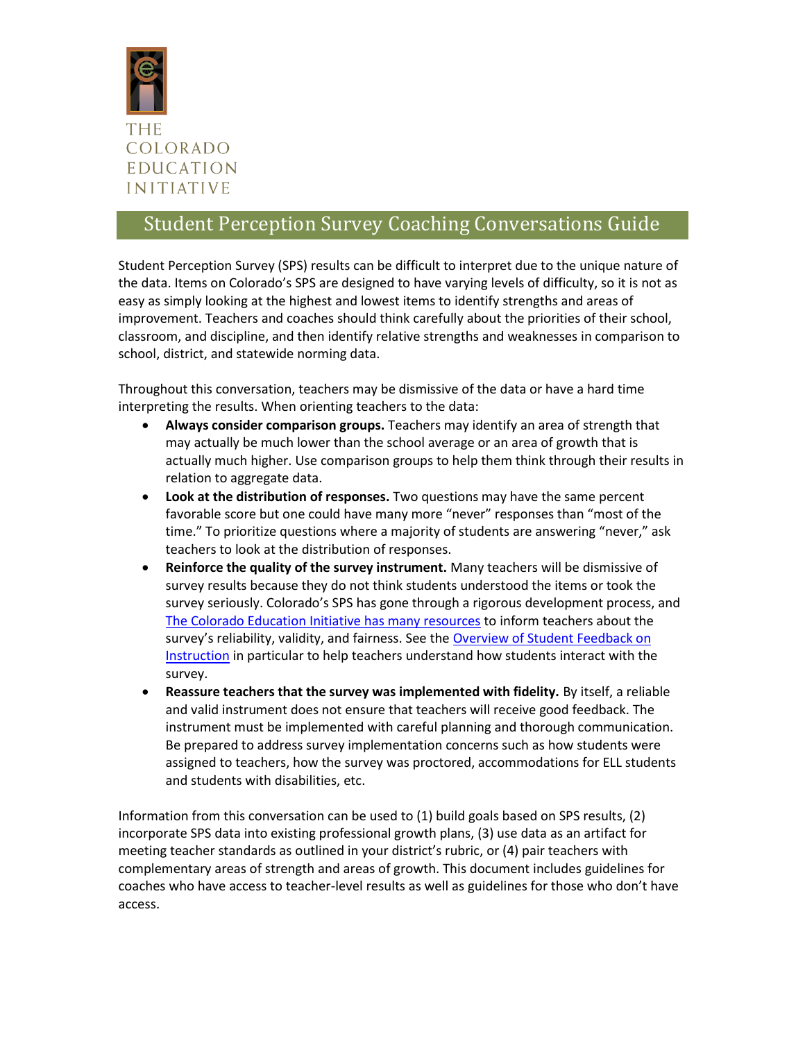

# Student Perception Survey Coaching Conversations Guide

Student Perception Survey (SPS) results can be difficult to interpret due to the unique nature of the data. Items on Colorado's SPS are designed to have varying levels of difficulty, so it is not as easy as simply looking at the highest and lowest items to identify strengths and areas of improvement. Teachers and coaches should think carefully about the priorities of their school, classroom, and discipline, and then identify relative strengths and weaknesses in comparison to school, district, and statewide norming data.

Throughout this conversation, teachers may be dismissive of the data or have a hard time interpreting the results. When orienting teachers to the data:

- **Always consider comparison groups.** Teachers may identify an area of strength that may actually be much lower than the school average or an area of growth that is actually much higher. Use comparison groups to help them think through their results in relation to aggregate data.
- **Look at the distribution of responses.** Two questions may have the same percent favorable score but one could have many more "never" responses than "most of the time." To prioritize questions where a majority of students are answering "never," ask teachers to look at the distribution of responses.
- **Reinforce the quality of the survey instrument.** Many teachers will be dismissive of survey results because they do not think students understood the items or took the survey seriously. Colorado's SPS has gone through a rigorous development process, and [The Colorado Education Initiative has many resources](http://www.coloradoedinitiative.org/toolkit/research/) to inform teachers about the survey's reliability, validity, and fairness. See the [Overview of Student Feedback on](http://www.coloradoedinitiative.org/wp-content/uploads/2014/09/SPS_Planning_comms_student-feedback-on-instruction-CEI.pdf)  [Instruction](http://www.coloradoedinitiative.org/wp-content/uploads/2014/09/SPS_Planning_comms_student-feedback-on-instruction-CEI.pdf) in particular to help teachers understand how students interact with the survey.
- **Reassure teachers that the survey was implemented with fidelity.** By itself, a reliable and valid instrument does not ensure that teachers will receive good feedback. The instrument must be implemented with careful planning and thorough communication. Be prepared to address survey implementation concerns such as how students were assigned to teachers, how the survey was proctored, accommodations for ELL students and students with disabilities, etc.

Information from this conversation can be used to (1) build goals based on SPS results, (2) incorporate SPS data into existing professional growth plans, (3) use data as an artifact for meeting teacher standards as outlined in your district's rubric, or (4) pair teachers with complementary areas of strength and areas of growth. This document includes guidelines for coaches who have access to teacher-level results as well as guidelines for those who don't have access.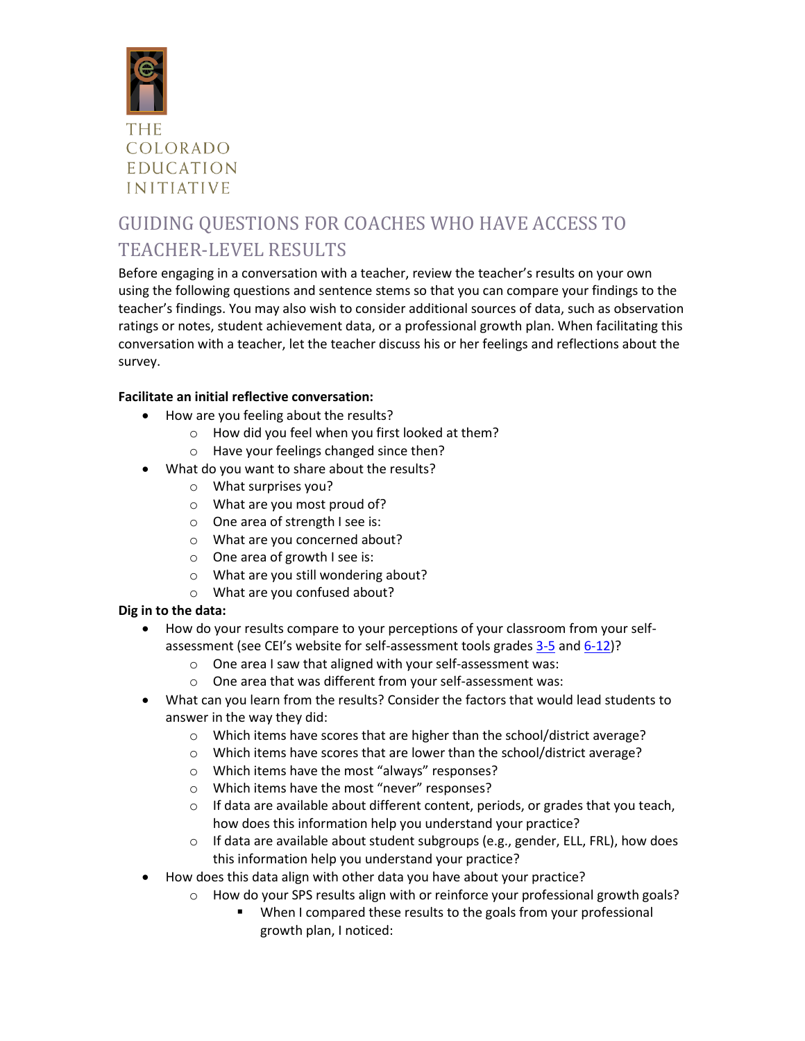

# GUIDING QUESTIONS FOR COACHES WHO HAVE ACCESS TO TEACHER-LEVEL RESULTS

Before engaging in a conversation with a teacher, review the teacher's results on your own using the following questions and sentence stems so that you can compare your findings to the teacher's findings. You may also wish to consider additional sources of data, such as observation ratings or notes, student achievement data, or a professional growth plan. When facilitating this conversation with a teacher, let the teacher discuss his or her feelings and reflections about the survey.

# **Facilitate an initial reflective conversation:**

- How are you feeling about the results?
	- o How did you feel when you first looked at them?
	- o Have your feelings changed since then?
- What do you want to share about the results?
	- o What surprises you?
	- o What are you most proud of?
	- o One area of strength I see is:
	- o What are you concerned about?
	- o One area of growth I see is:
	- o What are you still wondering about?
	- o What are you confused about?

# **Dig in to the data:**

- How do your results compare to your perceptions of your classroom from your self-assessment (see CEI's website for self-assessment tools grades [3-5](http://www.coloradoedinitiative.org/wp-content/uploads/2014/09/SPS_results_self-assessment-3-5_CEI.pdf) and [6-12\)](http://www.coloradoedinitiative.org/wp-content/uploads/2014/09/SPS_results_self-assessment-6-12_CEI.pdf)?
	- o One area I saw that aligned with your self-assessment was:
	- o One area that was different from your self-assessment was:
- What can you learn from the results? Consider the factors that would lead students to answer in the way they did:
	- o Which items have scores that are higher than the school/district average?
	- o Which items have scores that are lower than the school/district average?
	- o Which items have the most "always" responses?
	- o Which items have the most "never" responses?
	- o If data are available about different content, periods, or grades that you teach, how does this information help you understand your practice?
	- o If data are available about student subgroups (e.g., gender, ELL, FRL), how does this information help you understand your practice?
- How does this data align with other data you have about your practice?
	- o How do your SPS results align with or reinforce your professional growth goals?
		- When I compared these results to the goals from your professional growth plan, I noticed: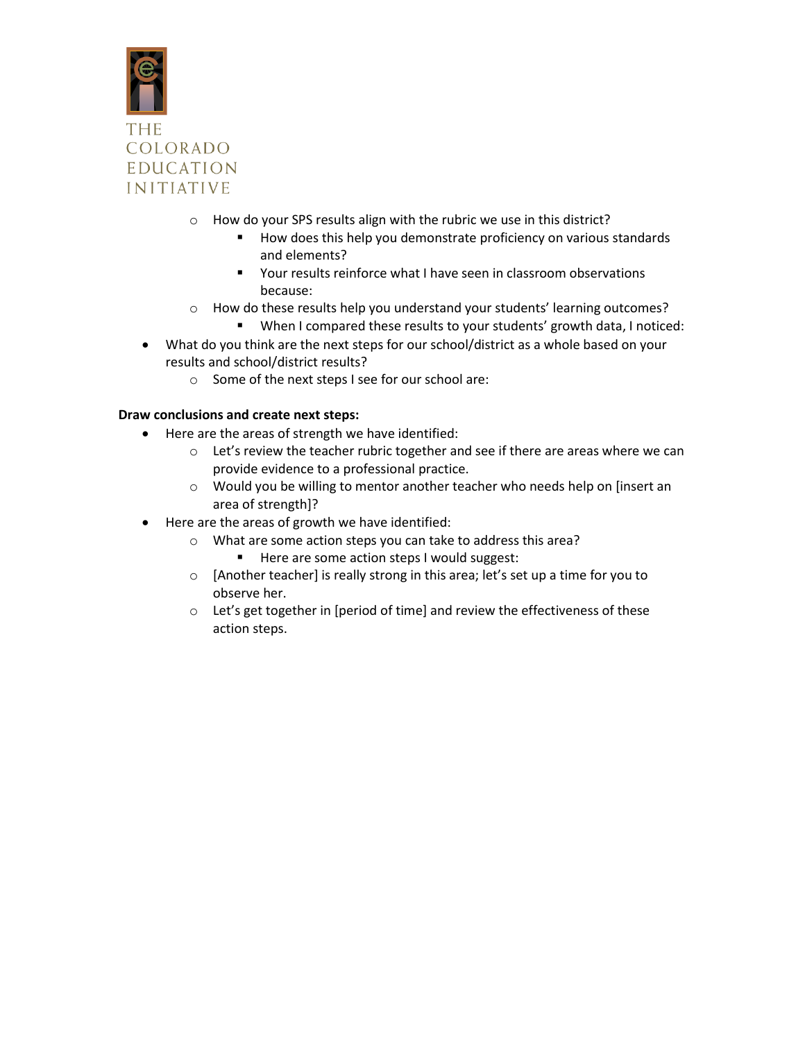

- o How do your SPS results align with the rubric we use in this district?
	- How does this help you demonstrate proficiency on various standards and elements?
	- Your results reinforce what I have seen in classroom observations because:
- o How do these results help you understand your students' learning outcomes?
	- When I compared these results to your students' growth data, I noticed:
- What do you think are the next steps for our school/district as a whole based on your results and school/district results?
	- o Some of the next steps I see for our school are:

#### **Draw conclusions and create next steps:**

- Here are the areas of strength we have identified:
	- $\circ$  Let's review the teacher rubric together and see if there are areas where we can provide evidence to a professional practice.
	- o Would you be willing to mentor another teacher who needs help on [insert an area of strength]?
- Here are the areas of growth we have identified:
	- o What are some action steps you can take to address this area?
		- Here are some action steps I would suggest:
	- o [Another teacher] is really strong in this area; let's set up a time for you to observe her.
	- o Let's get together in [period of time] and review the effectiveness of these action steps.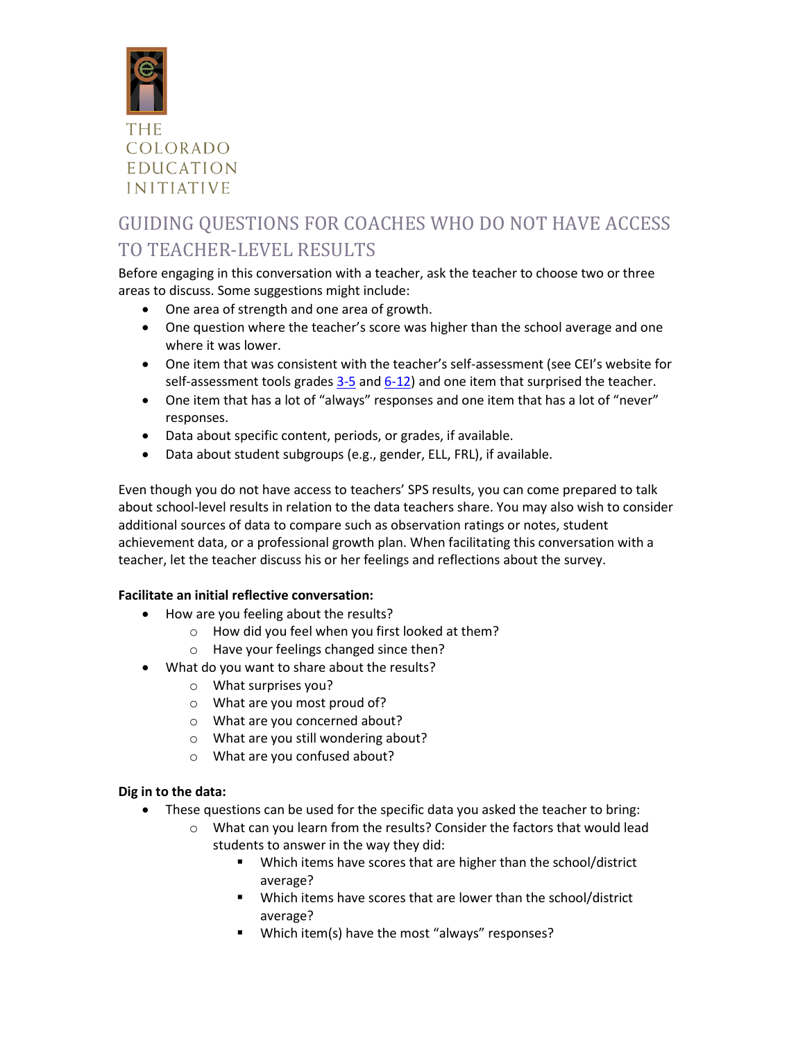

# GUIDING QUESTIONS FOR COACHES WHO DO NOT HAVE ACCESS TO TEACHER-LEVEL RESULTS

Before engaging in this conversation with a teacher, ask the teacher to choose two or three areas to discuss. Some suggestions might include:

- One area of strength and one area of growth.
- One question where the teacher's score was higher than the school average and one where it was lower.
- One item that was consistent with the teacher's self-assessment (see CEI's website for self-assessment tools grades  $3-5$  and  $6-12$ ) and one item that surprised the teacher.
- One item that has a lot of "always" responses and one item that has a lot of "never" responses.
- Data about specific content, periods, or grades, if available.
- Data about student subgroups (e.g., gender, ELL, FRL), if available.

Even though you do not have access to teachers' SPS results, you can come prepared to talk about school-level results in relation to the data teachers share. You may also wish to consider additional sources of data to compare such as observation ratings or notes, student achievement data, or a professional growth plan. When facilitating this conversation with a teacher, let the teacher discuss his or her feelings and reflections about the survey.

# **Facilitate an initial reflective conversation:**

- How are you feeling about the results?
	- o How did you feel when you first looked at them?
	- o Have your feelings changed since then?
- What do you want to share about the results?
	- o What surprises you?
	- o What are you most proud of?
	- o What are you concerned about?
	- o What are you still wondering about?
	- o What are you confused about?

# **Dig in to the data:**

- These questions can be used for the specific data you asked the teacher to bring:
	- o What can you learn from the results? Consider the factors that would lead students to answer in the way they did:
		- Which items have scores that are higher than the school/district average?
		- Which items have scores that are lower than the school/district average?
		- **Which item(s) have the most "always" responses?**